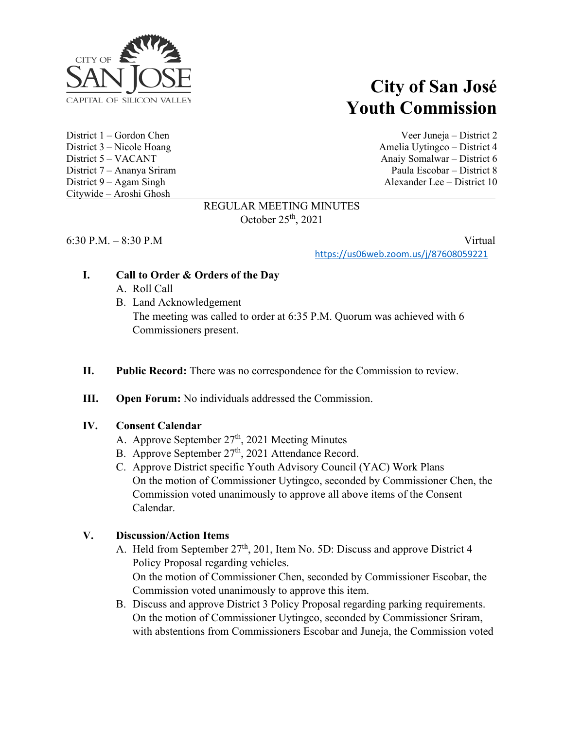

Citywide – Aroshi Ghosh

# **City of San José Youth Commission**

District 1 – Gordon Chen Veer Juneja – District 2 District 3 – Nicole Hoang Amelia Uytingco – District 4 District 5 – VACANT Anaiy Somalwar – District 6 District 7 – Ananya Sriram Paula Escobar – District 8 District 9 – Agam Singh Alexander Lee – District 10

#### REGULAR MEETING MINUTES October 25th, 2021

6:30 P.M. – 8:30 P.M Virtual

<https://us06web.zoom.us/j/87608059221>

### **I. Call to Order & Orders of the Day**

- A. Roll Call
- B. Land Acknowledgement The meeting was called to order at 6:35 P.M. Quorum was achieved with 6 Commissioners present.
- **II. Public Record:** There was no correspondence for the Commission to review.
- **III. Open Forum:** No individuals addressed the Commission.

#### **IV. Consent Calendar**

- A. Approve September 27<sup>th</sup>, 2021 Meeting Minutes
- B. Approve September 27<sup>th</sup>, 2021 Attendance Record.
- C. Approve District specific Youth Advisory Council (YAC) Work Plans On the motion of Commissioner Uytingco, seconded by Commissioner Chen, the Commission voted unanimously to approve all above items of the Consent Calendar.

### **V. Discussion/Action Items**

- A. Held from September 27<sup>th</sup>, 201, Item No. 5D: Discuss and approve District 4 Policy Proposal regarding vehicles. On the motion of Commissioner Chen, seconded by Commissioner Escobar, the Commission voted unanimously to approve this item.
- B. Discuss and approve District 3 Policy Proposal regarding parking requirements. On the motion of Commissioner Uytingco, seconded by Commissioner Sriram, with abstentions from Commissioners Escobar and Juneja, the Commission voted